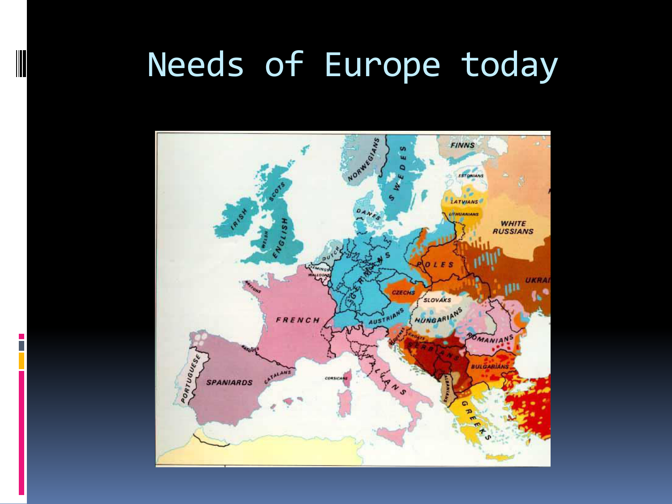### Needs of Europe today

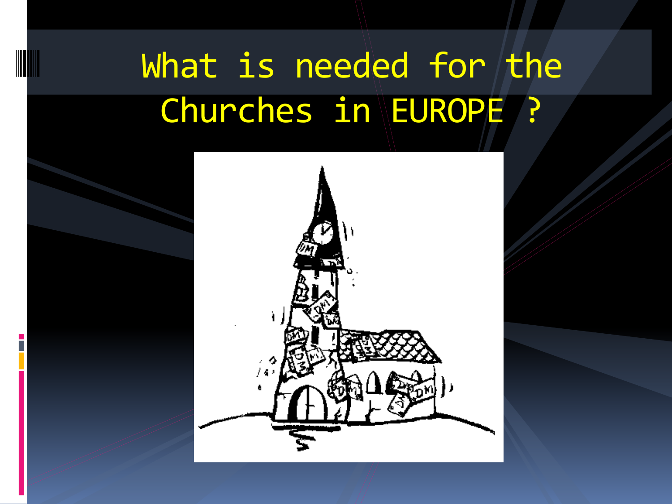## What is needed for the Churches in EUROPE ?

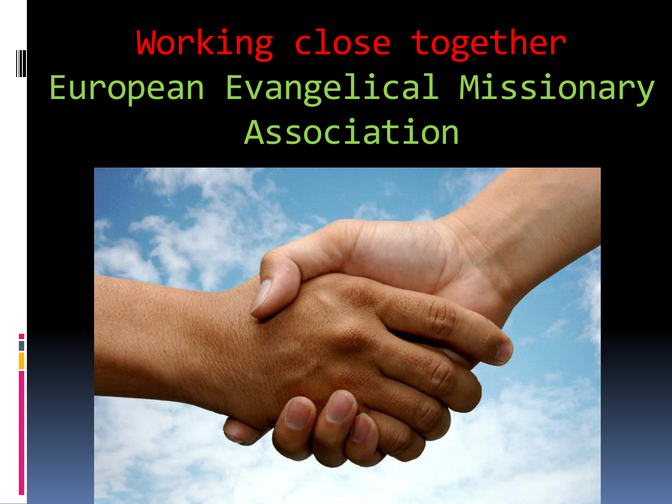## Working close together European Evangelical Missionary Association

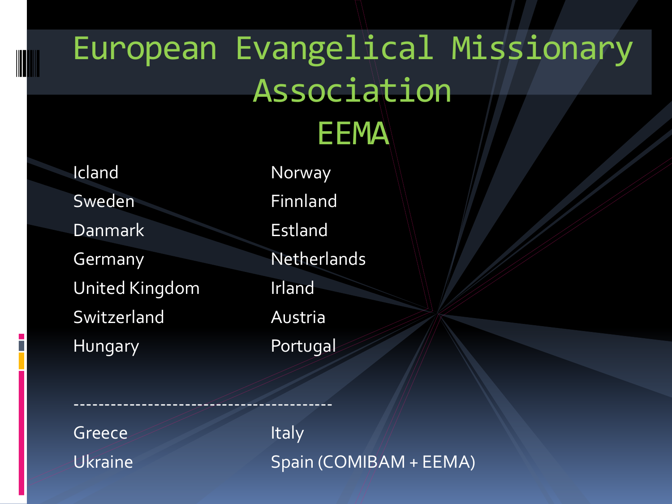### European Evangelical Missionary Association **EEMA**

Icland Norway Sweden Finnland Danmark Estland Germany Netherlands United Kingdom Irland Switzerland Austria Hungary Portugal

------------------------------------------

Greece *Italy* 

Ukraine Spain (COMIBAM + EEMA)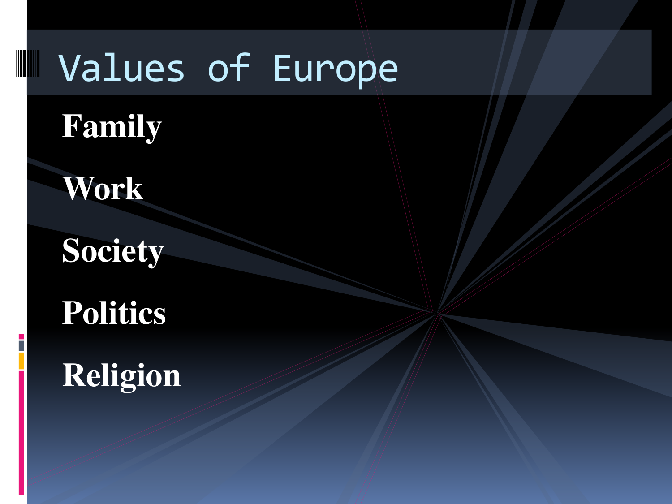## Values of Europe

### **Family**

### **Work**

**Society** 

### **Politics**

### **Religion**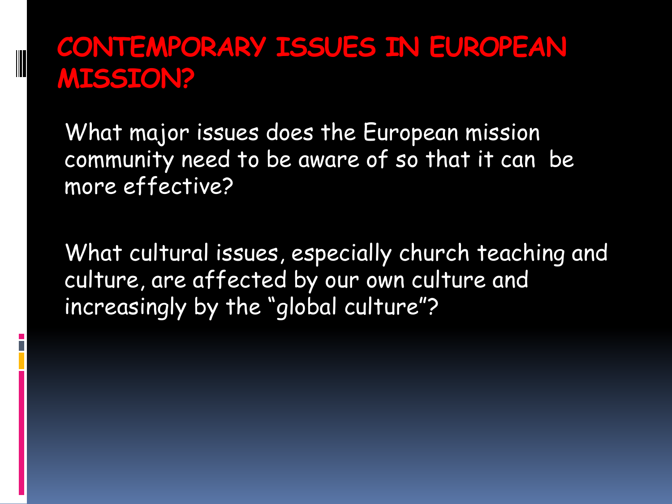#### **CONTEMPORARY ISSUES IN EUROPEAN MISSION?**

What major issues does the European mission community need to be aware of so that it can be more effective?

What cultural issues, especially church teaching and culture, are affected by our own culture and increasingly by the "global culture"?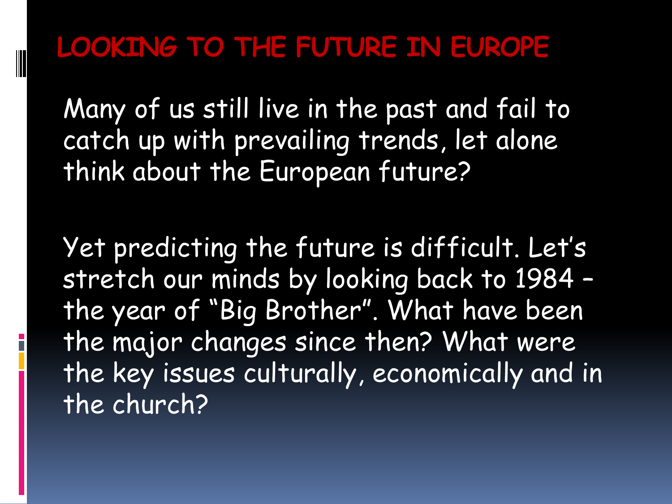#### **LOOKING TO THE FUTURE IN EUROPE**

Many of us still live in the past and fail to catch up with prevailing trends, let alone think about the European future?

Yet predicting the future is difficult. Let's stretch our minds by looking back to 1984 – the year of "Big Brother". What have been the major changes since then? What were the key issues culturally, economically and in the church?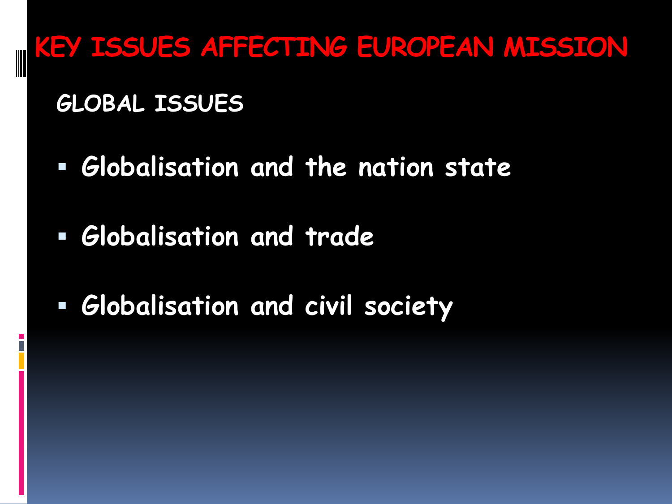**KEY ISSUES AFFECTING EUROPEAN MISSION**

**GLOBAL ISSUES** 

- **Globalisation and the nation state**
- **Globalisation and trade**
- **Globalisation and civil society**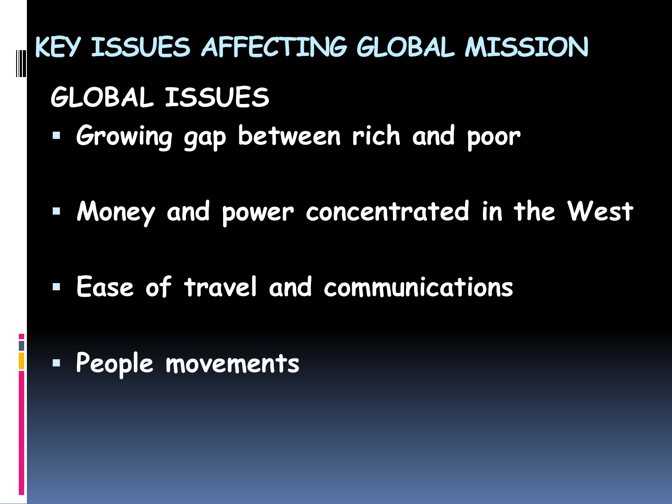**KEY ISSUES AFFECTING GLOBAL MISSION GLOBAL ISSUES Growing gap between rich and poor** 

**Money and power concentrated in the West** 

**Ease of travel and communications** 

**People movements**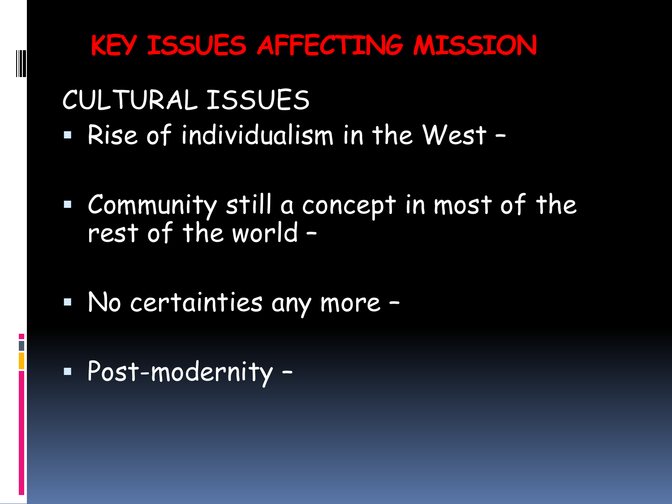#### **KEY ISSUES AFFECTING MISSION**

CULTURAL ISSUES

- Rise of individualism in the West –
- Community still a concept in most of the rest of the world –
- No certainties any more –
- Post-modernity –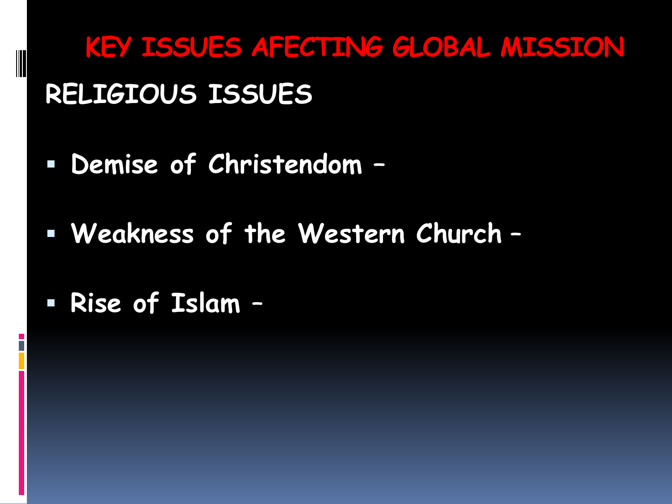**KEY ISSUES AFECTING GLOBAL MISSION RELIGIOUS ISSUES** 

- **Demise of Christendom –**
- **Weakness of the Western Church** –
- **Rise of Islam** –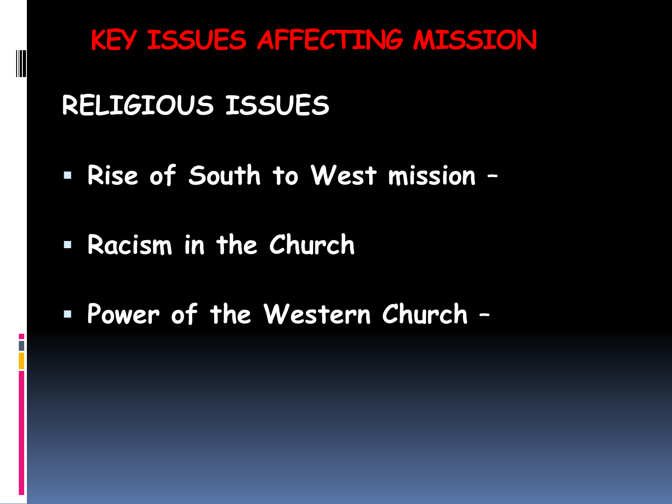**KEY ISSUES AFFECTING MISSION**

**RELIGIOUS ISSUES** 

- **Rise of South to West mission** –
- **Racism in the Church**
- **Power of the Western Church** –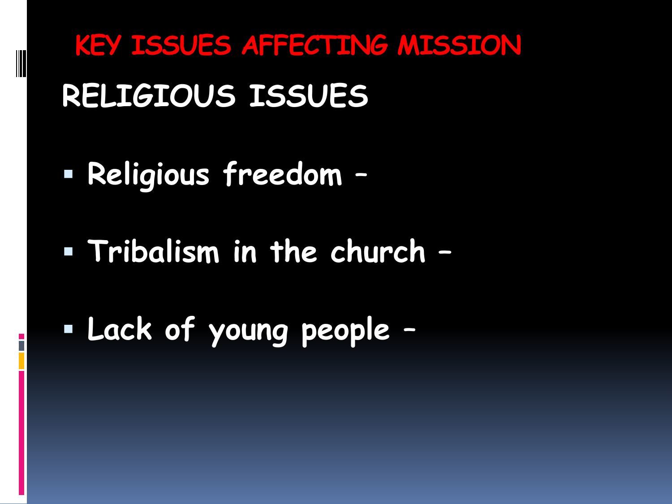**KEY ISSUES AFFECTING MISSION RELIGIOUS ISSUES** 

**Religious freedom** –

**Tribalism in the church –**

**Lack of young people** –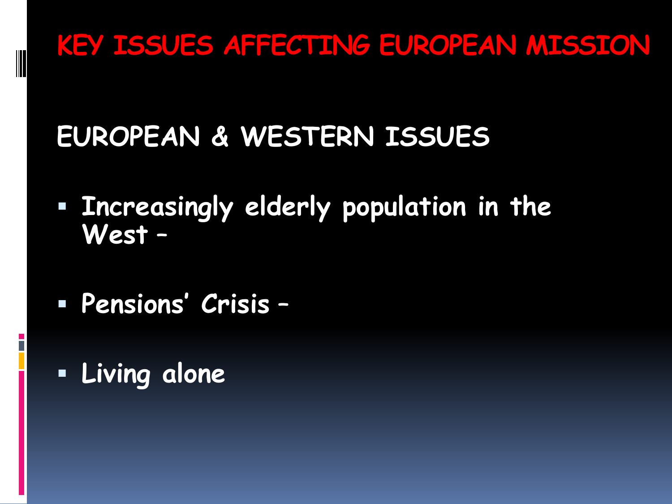#### **KEY ISSUES AFFECTING EUROPEAN MISSION**

### **EUROPEAN & WESTERN ISSUES**

- **Increasingly elderly population in the West** –
- **Pensions' Crisis** –
- **Living alone**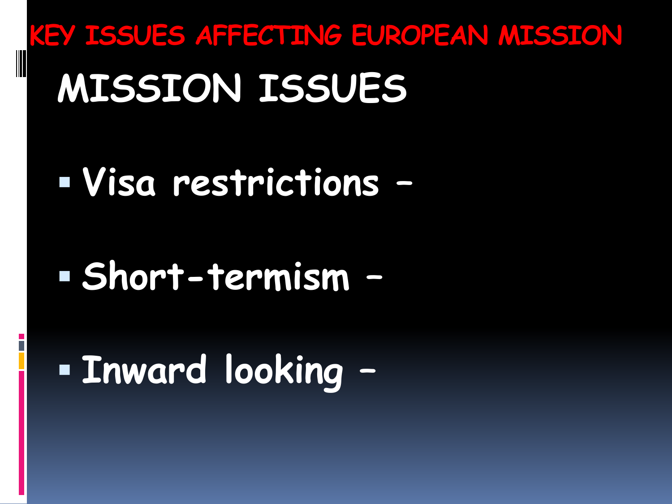# **KEY ISSUES AFFECTING EUROPEAN MISSION MISSION ISSUES**

## **Visa restrictions –**

## **Short-termism –**

## **Inward looking –**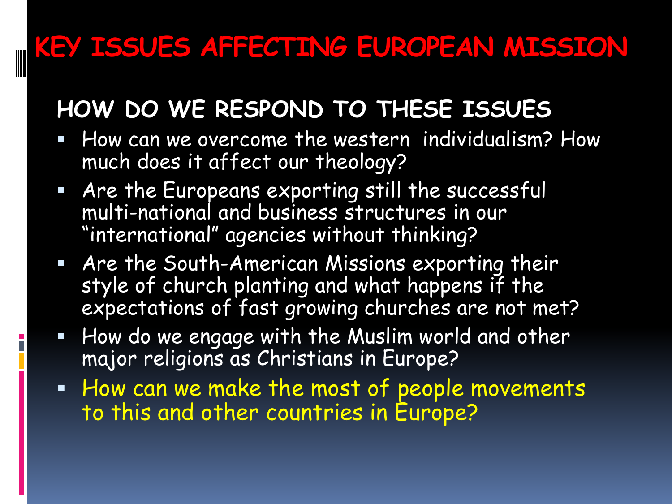#### **KEY ISSUES AFFECTING EUROPEAN MISSION**

#### **HOW DO WE RESPOND TO THESE ISSUES**

- **How can we overcome the western individualism? How** much does it affect our theology?
- Are the Europeans exporting still the successful multi-national and business structures in our "international" agencies without thinking?
- Are the South-American Missions exporting their style of church planting and what happens if the expectations of fast growing churches are not met?
- $\blacksquare$  How do we engage with the Muslim world and other major religions as Christians in Europe?
- **How can we make the most of people movements** to this and other countries in Europe?